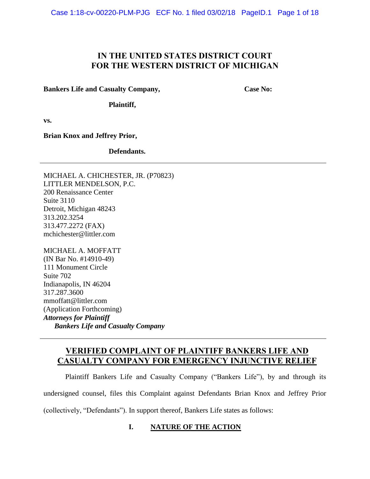Case 1:18-cv-00220-PLM-PJG ECF No. 1 filed 03/02/18 PageID.1 Page 1 of 18

# **IN THE UNITED STATES DISTRICT COURT FOR THE WESTERN DISTRICT OF MICHIGAN**

**Bankers Life and Casualty Company,**

**Case No:**

**Plaintiff,**

**vs.**

**Brian Knox and Jeffrey Prior,**

**Defendants.**

MICHAEL A. CHICHESTER, JR. (P70823) LITTLER MENDELSON, P.C. 200 Renaissance Center Suite 3110 Detroit, Michigan 48243 313.202.3254 313.477.2272 (FAX) mchichester@littler.com

MICHAEL A. MOFFATT (IN Bar No. #14910-49) 111 Monument Circle Suite 702 Indianapolis, IN 46204 317.287.3600 mmoffatt@littler.com (Application Forthcoming) *Attorneys for Plaintiff Bankers Life and Casualty Company*

# **VERIFIED COMPLAINT OF PLAINTIFF BANKERS LIFE AND CASUALTY COMPANY FOR EMERGENCY INJUNCTIVE RELIEF**

Plaintiff Bankers Life and Casualty Company ("Bankers Life"), by and through its undersigned counsel, files this Complaint against Defendants Brian Knox and Jeffrey Prior (collectively, "Defendants"). In support thereof, Bankers Life states as follows:

# **I. NATURE OF THE ACTION**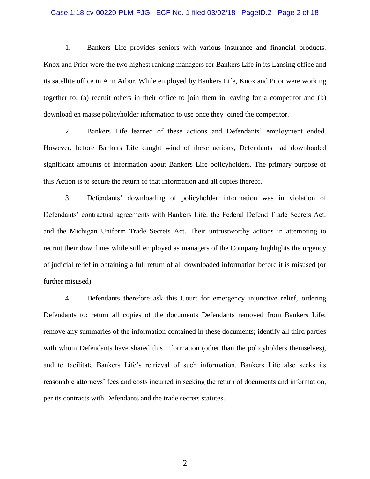### Case 1:18-cv-00220-PLM-PJG ECF No. 1 filed 03/02/18 PageID.2 Page 2 of 18

1. Bankers Life provides seniors with various insurance and financial products. Knox and Prior were the two highest ranking managers for Bankers Life in its Lansing office and its satellite office in Ann Arbor. While employed by Bankers Life, Knox and Prior were working together to: (a) recruit others in their office to join them in leaving for a competitor and (b) download en masse policyholder information to use once they joined the competitor.

2. Bankers Life learned of these actions and Defendants' employment ended. However, before Bankers Life caught wind of these actions, Defendants had downloaded significant amounts of information about Bankers Life policyholders. The primary purpose of this Action is to secure the return of that information and all copies thereof.

3. Defendants' downloading of policyholder information was in violation of Defendants' contractual agreements with Bankers Life, the Federal Defend Trade Secrets Act, and the Michigan Uniform Trade Secrets Act. Their untrustworthy actions in attempting to recruit their downlines while still employed as managers of the Company highlights the urgency of judicial relief in obtaining a full return of all downloaded information before it is misused (or further misused).

4. Defendants therefore ask this Court for emergency injunctive relief, ordering Defendants to: return all copies of the documents Defendants removed from Bankers Life; remove any summaries of the information contained in these documents; identify all third parties with whom Defendants have shared this information (other than the policyholders themselves), and to facilitate Bankers Life's retrieval of such information. Bankers Life also seeks its reasonable attorneys' fees and costs incurred in seeking the return of documents and information, per its contracts with Defendants and the trade secrets statutes.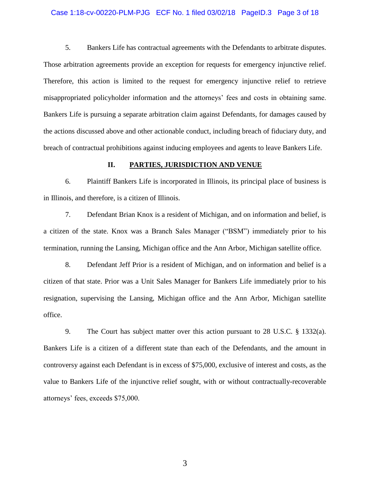### Case 1:18-cv-00220-PLM-PJG ECF No. 1 filed 03/02/18 PageID.3 Page 3 of 18

5. Bankers Life has contractual agreements with the Defendants to arbitrate disputes. Those arbitration agreements provide an exception for requests for emergency injunctive relief. Therefore, this action is limited to the request for emergency injunctive relief to retrieve misappropriated policyholder information and the attorneys' fees and costs in obtaining same. Bankers Life is pursuing a separate arbitration claim against Defendants, for damages caused by the actions discussed above and other actionable conduct, including breach of fiduciary duty, and breach of contractual prohibitions against inducing employees and agents to leave Bankers Life.

### **II. PARTIES, JURISDICTION AND VENUE**

6. Plaintiff Bankers Life is incorporated in Illinois, its principal place of business is in Illinois, and therefore, is a citizen of Illinois.

7. Defendant Brian Knox is a resident of Michigan, and on information and belief, is a citizen of the state. Knox was a Branch Sales Manager ("BSM") immediately prior to his termination, running the Lansing, Michigan office and the Ann Arbor, Michigan satellite office.

8. Defendant Jeff Prior is a resident of Michigan, and on information and belief is a citizen of that state. Prior was a Unit Sales Manager for Bankers Life immediately prior to his resignation, supervising the Lansing, Michigan office and the Ann Arbor, Michigan satellite office.

9. The Court has subject matter over this action pursuant to 28 U.S.C. § 1332(a). Bankers Life is a citizen of a different state than each of the Defendants, and the amount in controversy against each Defendant is in excess of \$75,000, exclusive of interest and costs, as the value to Bankers Life of the injunctive relief sought, with or without contractually-recoverable attorneys' fees, exceeds \$75,000.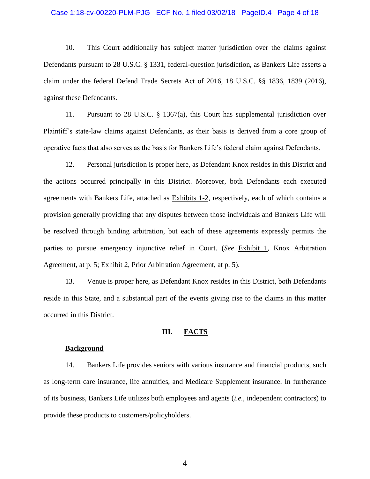### Case 1:18-cv-00220-PLM-PJG ECF No. 1 filed 03/02/18 PageID.4 Page 4 of 18

10. This Court additionally has subject matter jurisdiction over the claims against Defendants pursuant to 28 U.S.C. § 1331, federal-question jurisdiction, as Bankers Life asserts a claim under the federal Defend Trade Secrets Act of 2016, 18 U.S.C. §§ 1836, 1839 (2016), against these Defendants.

11. Pursuant to 28 U.S.C. § 1367(a), this Court has supplemental jurisdiction over Plaintiff's state-law claims against Defendants, as their basis is derived from a core group of operative facts that also serves as the basis for Bankers Life's federal claim against Defendants.

12. Personal jurisdiction is proper here, as Defendant Knox resides in this District and the actions occurred principally in this District. Moreover, both Defendants each executed agreements with Bankers Life, attached as Exhibits 1-2, respectively, each of which contains a provision generally providing that any disputes between those individuals and Bankers Life will be resolved through binding arbitration, but each of these agreements expressly permits the parties to pursue emergency injunctive relief in Court. (*See* Exhibit 1, Knox Arbitration Agreement, at p. 5; Exhibit 2, Prior Arbitration Agreement, at p. 5).

13. Venue is proper here, as Defendant Knox resides in this District, both Defendants reside in this State, and a substantial part of the events giving rise to the claims in this matter occurred in this District.

### **III. FACTS**

### **Background**

14. Bankers Life provides seniors with various insurance and financial products, such as long-term care insurance, life annuities, and Medicare Supplement insurance. In furtherance of its business, Bankers Life utilizes both employees and agents (*i.e.*, independent contractors) to provide these products to customers/policyholders.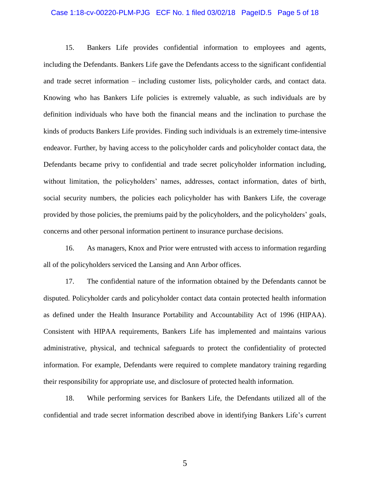### Case 1:18-cv-00220-PLM-PJG ECF No. 1 filed 03/02/18 PageID.5 Page 5 of 18

15. Bankers Life provides confidential information to employees and agents, including the Defendants. Bankers Life gave the Defendants access to the significant confidential and trade secret information – including customer lists, policyholder cards, and contact data. Knowing who has Bankers Life policies is extremely valuable, as such individuals are by definition individuals who have both the financial means and the inclination to purchase the kinds of products Bankers Life provides. Finding such individuals is an extremely time-intensive endeavor. Further, by having access to the policyholder cards and policyholder contact data, the Defendants became privy to confidential and trade secret policyholder information including, without limitation, the policyholders' names, addresses, contact information, dates of birth, social security numbers, the policies each policyholder has with Bankers Life, the coverage provided by those policies, the premiums paid by the policyholders, and the policyholders' goals, concerns and other personal information pertinent to insurance purchase decisions.

16. As managers, Knox and Prior were entrusted with access to information regarding all of the policyholders serviced the Lansing and Ann Arbor offices.

17. The confidential nature of the information obtained by the Defendants cannot be disputed. Policyholder cards and policyholder contact data contain protected health information as defined under the Health Insurance Portability and Accountability Act of 1996 (HIPAA). Consistent with HIPAA requirements, Bankers Life has implemented and maintains various administrative, physical, and technical safeguards to protect the confidentiality of protected information. For example, Defendants were required to complete mandatory training regarding their responsibility for appropriate use, and disclosure of protected health information.

18. While performing services for Bankers Life, the Defendants utilized all of the confidential and trade secret information described above in identifying Bankers Life's current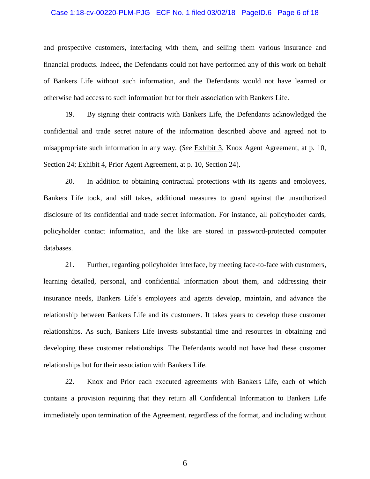### Case 1:18-cv-00220-PLM-PJG ECF No. 1 filed 03/02/18 PageID.6 Page 6 of 18

and prospective customers, interfacing with them, and selling them various insurance and financial products. Indeed, the Defendants could not have performed any of this work on behalf of Bankers Life without such information, and the Defendants would not have learned or otherwise had access to such information but for their association with Bankers Life.

19. By signing their contracts with Bankers Life, the Defendants acknowledged the confidential and trade secret nature of the information described above and agreed not to misappropriate such information in any way. (*See* Exhibit 3, Knox Agent Agreement, at p. 10, Section 24; Exhibit 4, Prior Agent Agreement, at p. 10, Section 24).

20. In addition to obtaining contractual protections with its agents and employees, Bankers Life took, and still takes, additional measures to guard against the unauthorized disclosure of its confidential and trade secret information. For instance, all policyholder cards, policyholder contact information, and the like are stored in password-protected computer databases.

21. Further, regarding policyholder interface, by meeting face-to-face with customers, learning detailed, personal, and confidential information about them, and addressing their insurance needs, Bankers Life's employees and agents develop, maintain, and advance the relationship between Bankers Life and its customers. It takes years to develop these customer relationships. As such, Bankers Life invests substantial time and resources in obtaining and developing these customer relationships. The Defendants would not have had these customer relationships but for their association with Bankers Life.

22. Knox and Prior each executed agreements with Bankers Life, each of which contains a provision requiring that they return all Confidential Information to Bankers Life immediately upon termination of the Agreement, regardless of the format, and including without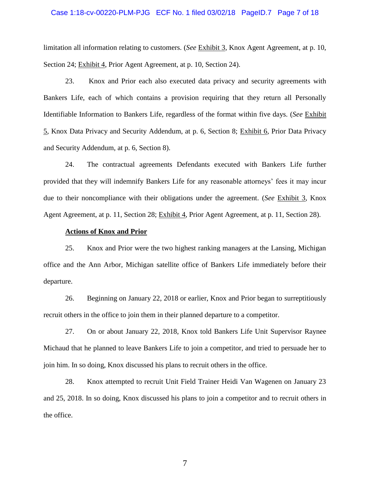### Case 1:18-cv-00220-PLM-PJG ECF No. 1 filed 03/02/18 PageID.7 Page 7 of 18

limitation all information relating to customers. (*See* Exhibit 3, Knox Agent Agreement, at p. 10, Section 24; Exhibit 4, Prior Agent Agreement, at p. 10, Section 24).

23. Knox and Prior each also executed data privacy and security agreements with Bankers Life, each of which contains a provision requiring that they return all Personally Identifiable Information to Bankers Life, regardless of the format within five days. (*See* Exhibit 5, Knox Data Privacy and Security Addendum, at p. 6, Section 8; Exhibit 6, Prior Data Privacy and Security Addendum, at p. 6, Section 8).

24. The contractual agreements Defendants executed with Bankers Life further provided that they will indemnify Bankers Life for any reasonable attorneys' fees it may incur due to their noncompliance with their obligations under the agreement. (*See* Exhibit 3, Knox Agent Agreement, at p. 11, Section 28; Exhibit 4, Prior Agent Agreement, at p. 11, Section 28).

### **Actions of Knox and Prior**

25. Knox and Prior were the two highest ranking managers at the Lansing, Michigan office and the Ann Arbor, Michigan satellite office of Bankers Life immediately before their departure.

26. Beginning on January 22, 2018 or earlier, Knox and Prior began to surreptitiously recruit others in the office to join them in their planned departure to a competitor.

27. On or about January 22, 2018, Knox told Bankers Life Unit Supervisor Raynee Michaud that he planned to leave Bankers Life to join a competitor, and tried to persuade her to join him. In so doing, Knox discussed his plans to recruit others in the office.

28. Knox attempted to recruit Unit Field Trainer Heidi Van Wagenen on January 23 and 25, 2018. In so doing, Knox discussed his plans to join a competitor and to recruit others in the office.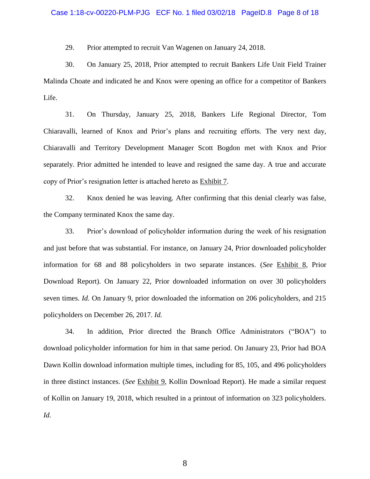29. Prior attempted to recruit Van Wagenen on January 24, 2018.

30. On January 25, 2018, Prior attempted to recruit Bankers Life Unit Field Trainer Malinda Choate and indicated he and Knox were opening an office for a competitor of Bankers Life.

31. On Thursday, January 25, 2018, Bankers Life Regional Director, Tom Chiaravalli, learned of Knox and Prior's plans and recruiting efforts. The very next day, Chiaravalli and Territory Development Manager Scott Bogdon met with Knox and Prior separately. Prior admitted he intended to leave and resigned the same day. A true and accurate copy of Prior's resignation letter is attached hereto as Exhibit 7.

32. Knox denied he was leaving. After confirming that this denial clearly was false, the Company terminated Knox the same day.

33. Prior's download of policyholder information during the week of his resignation and just before that was substantial. For instance, on January 24, Prior downloaded policyholder information for 68 and 88 policyholders in two separate instances. (*See* Exhibit 8, Prior Download Report). On January 22, Prior downloaded information on over 30 policyholders seven times. *Id.* On January 9, prior downloaded the information on 206 policyholders, and 215 policyholders on December 26, 2017. *Id.*

34. In addition, Prior directed the Branch Office Administrators ("BOA") to download policyholder information for him in that same period. On January 23, Prior had BOA Dawn Kollin download information multiple times, including for 85, 105, and 496 policyholders in three distinct instances. (*See* Exhibit 9, Kollin Download Report). He made a similar request of Kollin on January 19, 2018, which resulted in a printout of information on 323 policyholders. *Id.*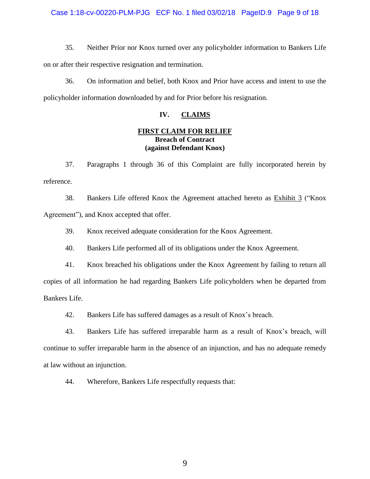### Case 1:18-cv-00220-PLM-PJG ECF No. 1 filed 03/02/18 PageID.9 Page 9 of 18

35. Neither Prior nor Knox turned over any policyholder information to Bankers Life on or after their respective resignation and termination.

36. On information and belief, both Knox and Prior have access and intent to use the policyholder information downloaded by and for Prior before his resignation.

# **IV. CLAIMS**

# **FIRST CLAIM FOR RELIEF Breach of Contract (against Defendant Knox)**

37. Paragraphs 1 through 36 of this Complaint are fully incorporated herein by reference.

38. Bankers Life offered Knox the Agreement attached hereto as Exhibit 3 ("Knox Agreement"), and Knox accepted that offer.

39. Knox received adequate consideration for the Knox Agreement.

40. Bankers Life performed all of its obligations under the Knox Agreement.

41. Knox breached his obligations under the Knox Agreement by failing to return all copies of all information he had regarding Bankers Life policyholders when he departed from Bankers Life.

42. Bankers Life has suffered damages as a result of Knox's breach.

43. Bankers Life has suffered irreparable harm as a result of Knox's breach, will continue to suffer irreparable harm in the absence of an injunction, and has no adequate remedy at law without an injunction.

44. Wherefore, Bankers Life respectfully requests that: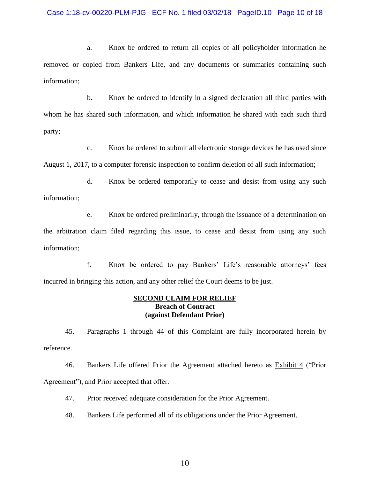### Case 1:18-cv-00220-PLM-PJG ECF No. 1 filed 03/02/18 PageID.10 Page 10 of 18

a. Knox be ordered to return all copies of all policyholder information he removed or copied from Bankers Life, and any documents or summaries containing such information;

b. Knox be ordered to identify in a signed declaration all third parties with whom he has shared such information, and which information he shared with each such third party;

c. Knox be ordered to submit all electronic storage devices he has used since August 1, 2017, to a computer forensic inspection to confirm deletion of all such information;

d. Knox be ordered temporarily to cease and desist from using any such information;

e. Knox be ordered preliminarily, through the issuance of a determination on the arbitration claim filed regarding this issue, to cease and desist from using any such information;

f. Knox be ordered to pay Bankers' Life's reasonable attorneys' fees incurred in bringing this action, and any other relief the Court deems to be just.

### **SECOND CLAIM FOR RELIEF Breach of Contract (against Defendant Prior)**

45. Paragraphs 1 through 44 of this Complaint are fully incorporated herein by reference.

46. Bankers Life offered Prior the Agreement attached hereto as **Exhibit 4** ("Prior Agreement"), and Prior accepted that offer.

47. Prior received adequate consideration for the Prior Agreement.

48. Bankers Life performed all of its obligations under the Prior Agreement.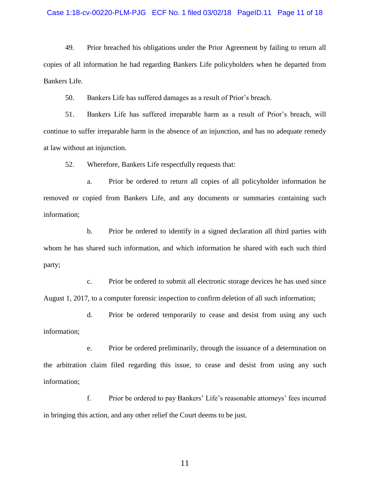#### Case 1:18-cv-00220-PLM-PJG ECF No. 1 filed 03/02/18 PageID.11 Page 11 of 18

49. Prior breached his obligations under the Prior Agreement by failing to return all copies of all information he had regarding Bankers Life policyholders when he departed from Bankers Life.

50. Bankers Life has suffered damages as a result of Prior's breach.

51. Bankers Life has suffered irreparable harm as a result of Prior's breach, will continue to suffer irreparable harm in the absence of an injunction, and has no adequate remedy at law without an injunction.

52. Wherefore, Bankers Life respectfully requests that:

a. Prior be ordered to return all copies of all policyholder information he removed or copied from Bankers Life, and any documents or summaries containing such information;

b. Prior be ordered to identify in a signed declaration all third parties with whom he has shared such information, and which information he shared with each such third party;

c. Prior be ordered to submit all electronic storage devices he has used since August 1, 2017, to a computer forensic inspection to confirm deletion of all such information;

d. Prior be ordered temporarily to cease and desist from using any such information;

e. Prior be ordered preliminarily, through the issuance of a determination on the arbitration claim filed regarding this issue, to cease and desist from using any such information;

f. Prior be ordered to pay Bankers' Life's reasonable attorneys' fees incurred in bringing this action, and any other relief the Court deems to be just.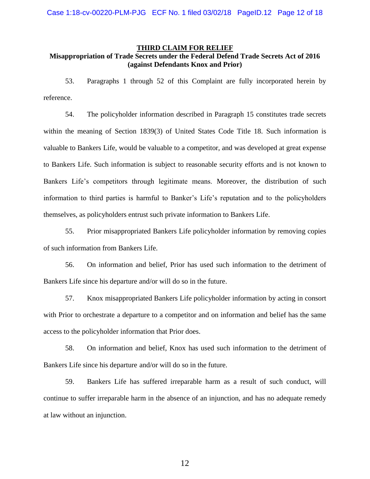#### **THIRD CLAIM FOR RELIEF**

# **Misappropriation of Trade Secrets under the Federal Defend Trade Secrets Act of 2016 (against Defendants Knox and Prior)**

53. Paragraphs 1 through 52 of this Complaint are fully incorporated herein by reference.

54. The policyholder information described in Paragraph 15 constitutes trade secrets within the meaning of Section 1839(3) of United States Code Title 18. Such information is valuable to Bankers Life, would be valuable to a competitor, and was developed at great expense to Bankers Life. Such information is subject to reasonable security efforts and is not known to Bankers Life's competitors through legitimate means. Moreover, the distribution of such information to third parties is harmful to Banker's Life's reputation and to the policyholders themselves, as policyholders entrust such private information to Bankers Life.

55. Prior misappropriated Bankers Life policyholder information by removing copies of such information from Bankers Life.

56. On information and belief, Prior has used such information to the detriment of Bankers Life since his departure and/or will do so in the future.

57. Knox misappropriated Bankers Life policyholder information by acting in consort with Prior to orchestrate a departure to a competitor and on information and belief has the same access to the policyholder information that Prior does.

58. On information and belief, Knox has used such information to the detriment of Bankers Life since his departure and/or will do so in the future.

59. Bankers Life has suffered irreparable harm as a result of such conduct, will continue to suffer irreparable harm in the absence of an injunction, and has no adequate remedy at law without an injunction.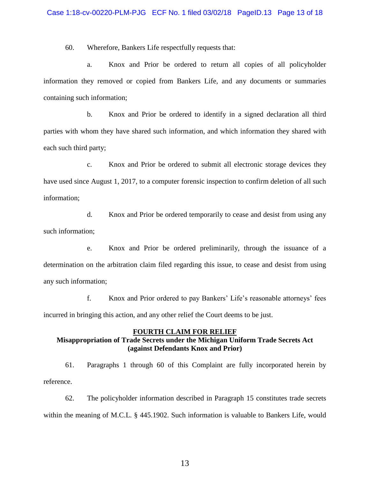60. Wherefore, Bankers Life respectfully requests that:

a. Knox and Prior be ordered to return all copies of all policyholder information they removed or copied from Bankers Life, and any documents or summaries containing such information;

b. Knox and Prior be ordered to identify in a signed declaration all third parties with whom they have shared such information, and which information they shared with each such third party;

c. Knox and Prior be ordered to submit all electronic storage devices they have used since August 1, 2017, to a computer forensic inspection to confirm deletion of all such information;

d. Knox and Prior be ordered temporarily to cease and desist from using any such information;

e. Knox and Prior be ordered preliminarily, through the issuance of a determination on the arbitration claim filed regarding this issue, to cease and desist from using any such information;

f. Knox and Prior ordered to pay Bankers' Life's reasonable attorneys' fees incurred in bringing this action, and any other relief the Court deems to be just.

# **FOURTH CLAIM FOR RELIEF Misappropriation of Trade Secrets under the Michigan Uniform Trade Secrets Act (against Defendants Knox and Prior)**

61. Paragraphs 1 through 60 of this Complaint are fully incorporated herein by reference.

62. The policyholder information described in Paragraph 15 constitutes trade secrets within the meaning of M.C.L. § 445.1902. Such information is valuable to Bankers Life, would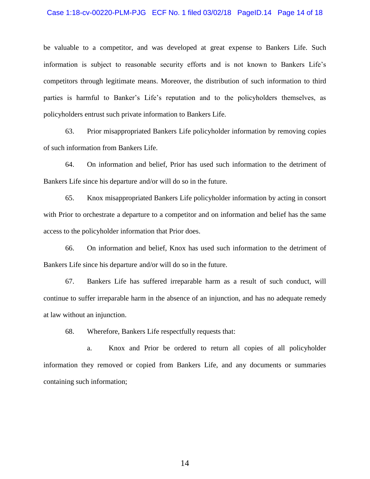#### Case 1:18-cv-00220-PLM-PJG ECF No. 1 filed 03/02/18 PageID.14 Page 14 of 18

be valuable to a competitor, and was developed at great expense to Bankers Life. Such information is subject to reasonable security efforts and is not known to Bankers Life's competitors through legitimate means. Moreover, the distribution of such information to third parties is harmful to Banker's Life's reputation and to the policyholders themselves, as policyholders entrust such private information to Bankers Life.

63. Prior misappropriated Bankers Life policyholder information by removing copies of such information from Bankers Life.

64. On information and belief, Prior has used such information to the detriment of Bankers Life since his departure and/or will do so in the future.

65. Knox misappropriated Bankers Life policyholder information by acting in consort with Prior to orchestrate a departure to a competitor and on information and belief has the same access to the policyholder information that Prior does.

66. On information and belief, Knox has used such information to the detriment of Bankers Life since his departure and/or will do so in the future.

67. Bankers Life has suffered irreparable harm as a result of such conduct, will continue to suffer irreparable harm in the absence of an injunction, and has no adequate remedy at law without an injunction.

68. Wherefore, Bankers Life respectfully requests that:

a. Knox and Prior be ordered to return all copies of all policyholder information they removed or copied from Bankers Life, and any documents or summaries containing such information;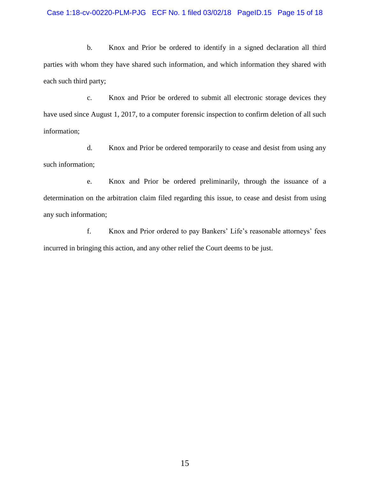### Case 1:18-cv-00220-PLM-PJG ECF No. 1 filed 03/02/18 PageID.15 Page 15 of 18

b. Knox and Prior be ordered to identify in a signed declaration all third parties with whom they have shared such information, and which information they shared with each such third party;

c. Knox and Prior be ordered to submit all electronic storage devices they have used since August 1, 2017, to a computer forensic inspection to confirm deletion of all such information;

d. Knox and Prior be ordered temporarily to cease and desist from using any such information;

e. Knox and Prior be ordered preliminarily, through the issuance of a determination on the arbitration claim filed regarding this issue, to cease and desist from using any such information;

f. Knox and Prior ordered to pay Bankers' Life's reasonable attorneys' fees incurred in bringing this action, and any other relief the Court deems to be just.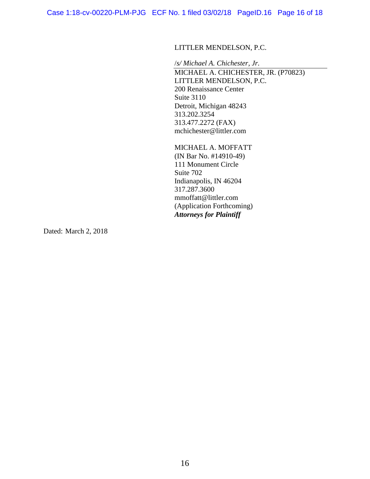Case 1:18-cv-00220-PLM-PJG ECF No. 1 filed 03/02/18 PageID.16 Page 16 of 18

# LITTLER MENDELSON, P.C.

/*s/ Michael A. Chichester, Jr.* MICHAEL A. CHICHESTER, JR. (P70823) LITTLER MENDELSON, P.C. 200 Renaissance Center Suite 3110 Detroit, Michigan 48243 313.202.3254 313.477.2272 (FAX) mchichester@littler.com

MICHAEL A. MOFFATT (IN Bar No. #14910-49) 111 Monument Circle Suite 702 Indianapolis, IN 46204 317.287.3600 mmoffatt@littler.com (Application Forthcoming) *Attorneys for Plaintiff*

Dated: March 2, 2018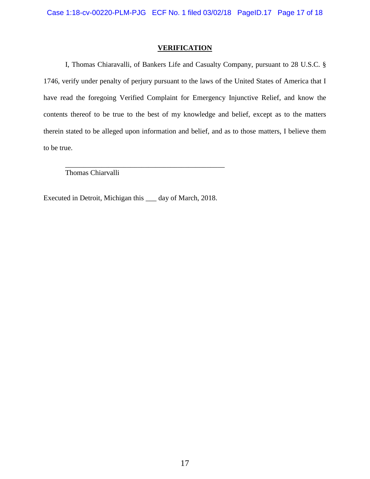## **VERIFICATION**

I, Thomas Chiaravalli, of Bankers Life and Casualty Company, pursuant to 28 U.S.C. § 1746, verify under penalty of perjury pursuant to the laws of the United States of America that I have read the foregoing Verified Complaint for Emergency Injunctive Relief, and know the contents thereof to be true to the best of my knowledge and belief, except as to the matters therein stated to be alleged upon information and belief, and as to those matters, I believe them to be true.

Thomas Chiarvalli

Executed in Detroit, Michigan this \_\_\_ day of March, 2018.

\_\_\_\_\_\_\_\_\_\_\_\_\_\_\_\_\_\_\_\_\_\_\_\_\_\_\_\_\_\_\_\_\_\_\_\_\_\_\_\_\_\_\_\_